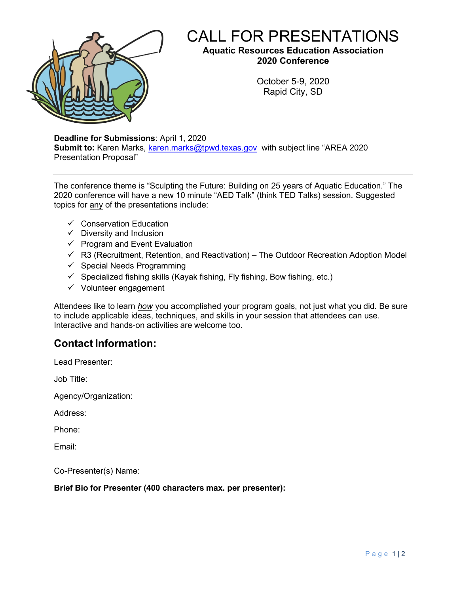

# CALL FOR PRESENTATIONS

**Aquatic Resources Education Association 2020 Conference**

> October 5-9, 2020 Rapid City, SD

**Deadline for Submissions**: April 1, 2020

**Submit to:** Karen Marks, [karen.marks@tpwd.texas.gov](mailto:karen.marks@tpwd.texas.gov) with subject line "AREA 2020 Presentation Proposal"

The conference theme is "Sculpting the Future: Building on 25 years of Aquatic Education." The 2020 conference will have a new 10 minute "AED Talk" (think TED Talks) session. Suggested topics for any of the presentations include:

- $\checkmark$  Conservation Education
- $\checkmark$  Diversity and Inclusion
- $\checkmark$  Program and Event Evaluation
- $\checkmark$  R3 (Recruitment, Retention, and Reactivation) The Outdoor Recreation Adoption Model
- $\checkmark$  Special Needs Programming
- $\checkmark$  Specialized fishing skills (Kayak fishing, Fly fishing, Bow fishing, etc.)
- $\checkmark$  Volunteer engagement

Attendees like to learn *how* you accomplished your program goals, not just what you did. Be sure to include applicable ideas, techniques, and skills in your session that attendees can use. Interactive and hands-on activities are welcome too.

# **Contact Information:**

Lead Presenter:

Job Title:

Agency/Organization:

Address:

Phone:

Email:

Co-Presenter(s) Name:

### **Brief Bio for Presenter (400 characters max. per presenter):**